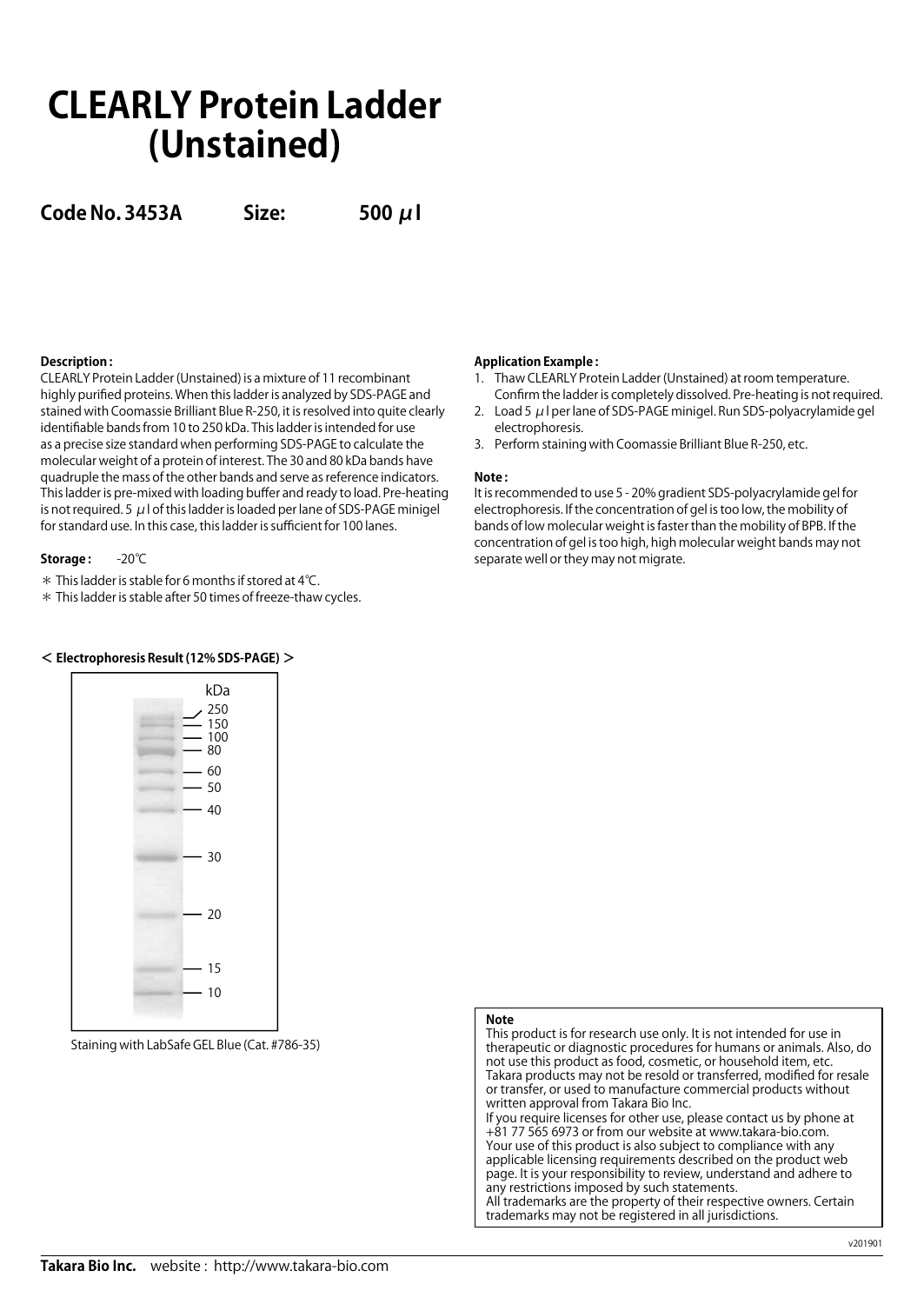# **CLEARLY Protein Ladder (Unstained)**

**Code No. 3453A Size: 500 μl**

# **Description :**

CLEARLY Protein Ladder (Unstained) is a mixture of 11 recombinant highly purified proteins. When this ladder is analyzed by SDS-PAGE and stained with Coomassie Brilliant Blue R-250, it is resolved into quite clearly identifiable bands from 10 to 250 kDa. This ladder is intended for use as a precise size standard when performing SDS-PAGE to calculate the molecular weight of a protein of interest. The 30 and 80 kDa bands have quadruple the mass of the other bands and serve as reference indicators. This ladder is pre-mixed with loading buffer and ready to load. Pre-heating is not required. 5  $\mu$  l of this ladder is loaded per lane of SDS-PAGE minigel for standard use. In this case, this ladder is sufficient for 100 lanes.

## **Storage :** -20℃

\* This ladder is stable for 6 months if stored at 4℃.

\* This ladder is stable after 50 times of freeze-thaw cycles.

**< Electrophoresis Result (12% SDS-PAGE) >**



Staining with LabSafe GEL Blue (Cat. #786-35)

### **Application Example :**

- 1. Thaw CLEARLY Protein Ladder (Unstained) at room temperature.
- Confirm the ladder is completely dissolved. Pre-heating is not required. 2. Load 5  $\mu$  I per lane of SDS-PAGE minigel. Run SDS-polyacrylamide gel electrophoresis.
- 3. Perform staining with Coomassie Brilliant Blue R-250, etc.

### **Note :**

It is recommended to use 5 - 20% gradient SDS-polyacrylamide gel for electrophoresis. If the concentration of gel is too low, the mobility of bands of low molecular weight is faster than the mobility of BPB. If the concentration of gel is too high, high molecular weight bands may not separate well or they may not migrate.

# **Note**

This product is for research use only. It is not intended for use in therapeutic or diagnostic procedures for humans or animals. Also, do not use this product as food, cosmetic, or household item, etc. Takara products may not be resold or transferred, modified for resale or transfer, or used to manufacture commercial products without written approval from Takara Bio Inc. If you require licenses for other use, please contact us by phone at +81 77 565 6973 or from our website at www.takara-bio.com. Your use of this product is also subject to compliance with any

applicable licensing requirements described on the product web page. It is your responsibility to review, understand and adhere to any restrictions imposed by such statements. All trademarks are the property of their respective owners. Certain

trademarks may not be registered in all jurisdictions.